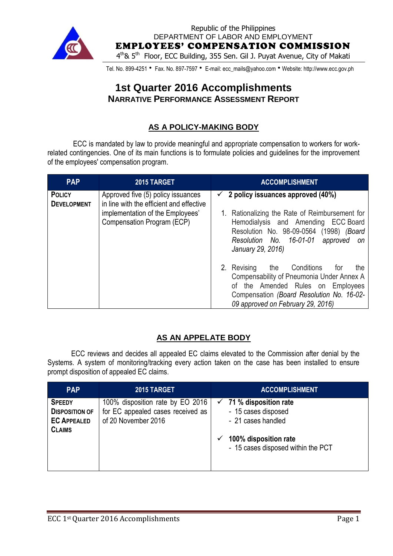

Republic of the Philippines DEPARTMENT OF LABOR AND EMPLOYMENT EMPLOYEES' COMPENSATION COMMISSION 4<sup>th</sup>& 5<sup>th</sup> Floor, ECC Building, 355 Sen. Gil J. Puyat Avenue, City of Makati

Tel. No. 899-4251 • Fax. No. 897-7597 • E-mail: ecc\_mails@yahoo.com • Website: http://www.ecc.gov.ph

# **1st Quarter 2016 Accomplishments NARRATIVE PERFORMANCE ASSESSMENT REPORT**

## **AS A POLICY-MAKING BODY**

ECC is mandated by law to provide meaningful and appropriate compensation to workers for workrelated contingencies. One of its main functions is to formulate policies and guidelines for the improvement of the employees' compensation program.

| <b>PAP</b>                          | 2015 TARGET                                                                                                                                      | <b>ACCOMPLISHMENT</b>                                                                                                                                                                                                                     |
|-------------------------------------|--------------------------------------------------------------------------------------------------------------------------------------------------|-------------------------------------------------------------------------------------------------------------------------------------------------------------------------------------------------------------------------------------------|
| <b>POLICY</b><br><b>DEVELOPMENT</b> | Approved five (5) policy issuances<br>in line with the efficient and effective<br>implementation of the Employees'<br>Compensation Program (ECP) | 2 policy issuances approved (40%)<br>✓<br>Rationalizing the Rate of Reimbursement for<br>Hemodialysis and Amending ECC Board<br>Resolution No. 98-09-0564 (1998) (Board<br>Resolution No. 16-01-01<br>approved<br>on<br>January 29, 2016) |
|                                     |                                                                                                                                                  | the Conditions<br>2. Revising<br>tor<br>the<br>Compensability of Pneumonia Under Annex A<br>of the Amended Rules on Employees<br>Compensation (Board Resolution No. 16-02-<br>09 approved on February 29, 2016)                           |

## **AS AN APPELATE BODY**

ECC reviews and decides all appealed EC claims elevated to the Commission after denial by the Systems. A system of monitoring/tracking every action taken on the case has been installed to ensure prompt disposition of appealed EC claims.

| <b>PAP</b>                                                                    | 2015 TARGET                                                                                  | <b>ACCOMPLISHMENT</b>                                                                                                                          |
|-------------------------------------------------------------------------------|----------------------------------------------------------------------------------------------|------------------------------------------------------------------------------------------------------------------------------------------------|
| <b>SPEEDY</b><br><b>DISPOSITION OF</b><br><b>EC APPEALED</b><br><b>CLAIMS</b> | 100% disposition rate by EO 2016<br>for EC appealed cases received as<br>of 20 November 2016 | $\checkmark$ 71 % disposition rate<br>- 15 cases disposed<br>- 21 cases handled<br>100% disposition rate<br>- 15 cases disposed within the PCT |